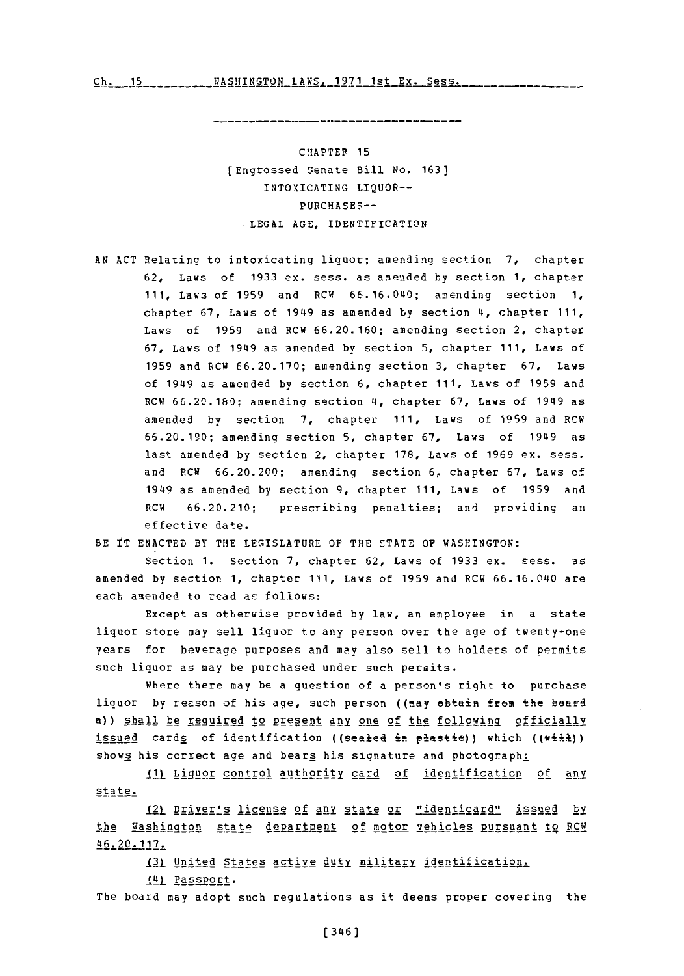<u>Ch. 15\_\_\_\_\_\_\_\_\_\_WASHINGTON\_LAWS. 1971 1st\_Ex. Sess.</u>

--------------------------------------

**CHAPTEP 15** [Engrossed Senate Bill **No. 163]** INTOXICATING LIQUOR-- **PURCHASES-- LEGhL AGE,** IDENTIFICATION

**AN ACT** Relating to intoxicating liquor; amending section **7,** chapter **62,** Laws of **1933** ex. sess. as amended **by** section **1,** chapter **111,** Laws of **1959** and RCW **66.16.040;** amending section **1,** chapter **67,** Laws ot 1949 as amended **by** section 4, chapter **111,** Laws of **1959** and RCW **66.20.160;** amending section 2, chapter **67,** Laws of 1949 as amended **by** section **5,** chapter **111,** Laws of **1959** and RCW **66.20.170;** amending section **3,** chapter **67,** Laws of 1949 as amended **by** section **6,** chapter **111,** Laws of **1959** and RCW **66.20.180;** amending section 4, chapter **67,** Laws of 1949 as amended **by** section **7,** chapter **111,** Laws of **1959** and RCW **66.20.190;** ampndinq section **5,** chapter **67,** Laws of 1949 as last amended **by** section 2, chapter **178,** Laws of **1969** ex. sess. and PCW **66.20.200;** amending section **6,** chapter **67,** Laws of 1949 as amended **by** section **9,** chapter **111,** Laws of **1959** and RCW **66.20.210;** prescribing penalties; and providing an effective date.

BE iT **ENACTED** BY THE LEGISLATURE OF THE **STATE** OF **WASHINGTON:**

Section **1.** Section **7,** chapter **62,** Laws of **1933** ex. sess. as amended **by** section **1,** chapter **111,** Laws of **1959** and RCW **66.16.040** are each amended to read as follows:

Except as otherwise provided **by** law, an employee in a state liquor store may sell liquor to any person over the age of twenty-one years for beverage purposes and may also sell to holders of permits such liquor as may be purchased under such permits.

Where there may be a question of a person's right to purchase liquor by reason of his age, such person ((may ebtain frem the beard a)) shall be required to present any one of the following officially issued cards of identification ((sealed in plastic)) which ((will)) shows his correct age and bears his signature and photograph:

**\_(1)** Lig!aor control authority card of identification of an.y state.

(2L Driver's license of any state or "identicard,, issued **by** the Washington state department of motor vehicles pursuant to **RCM** 46.20. 117.

121\_ United States active duty military identification.

141 Passport.

The board may adopt such regulations as it deems proper covering the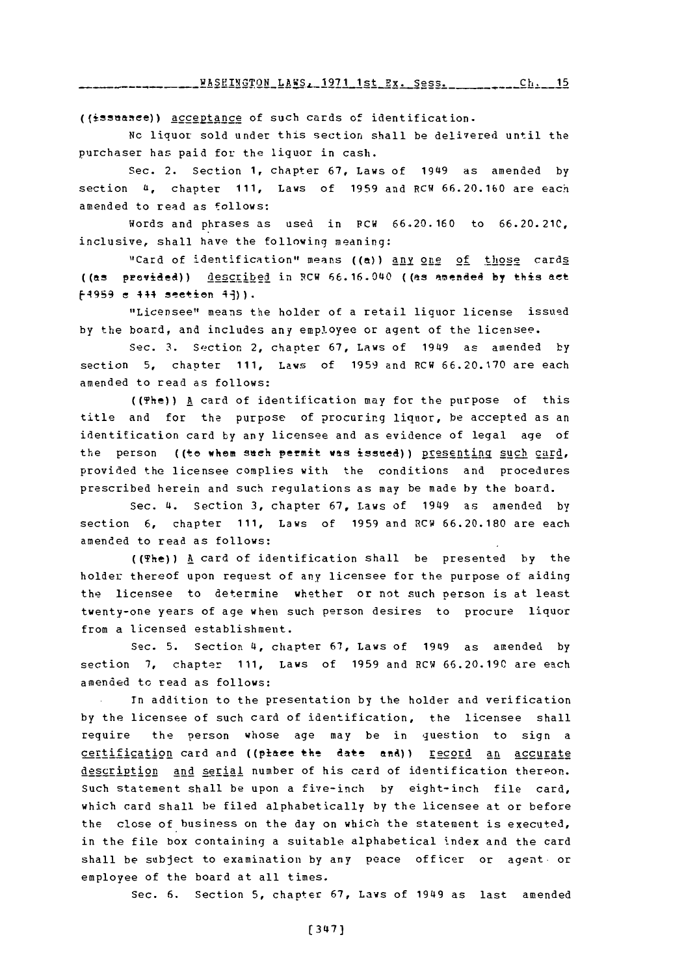((issuance)) acceptance of such cards of identification.

**Nc** liquor sold under this section shall be delivered until the purchaser has paid for *the* liquor in cash.

Sec. 2. Section **1,** chapter **67,** Laws of 1949 as amended **by** section **U,** chapter **111,** Laws of **1959** and RCW **66.20.160** are each amended to read as follows:

Words and phrases as used in **PCW 66.20.160** to **66.20.21C,** inclusive, shall have the following meaning:

"Card of identification" means ((a)) any one of those cards ((as previeled)) descr~gibed in RCW **66.16.040** ((as m *en~ded* **by** this act **14959 e** 444 section **l9)).**

"Licensee" means the holder of a retail liquor license issued **by** the board, and includes any employee or agent of the licensee.

Sec. 3. Section 2, chapter 67, Laws of 1949 as amended by section **5,** chapter **111,** Laws of **1959** and RCW **66.20.170** are each amended to read as follows:

((The)) A card of identification may for the purpose of this title and for the purpose of procuring liquor, be accepted as an identification card **by** any licensee and as evidence of legal age of the person ((to whom such permit was issued)) presenting such card, provided the licensee complies with the conditions and procedures prescribed herein and such regulations as may be made **by** the board.

Sec. 4. Section **3,** chapter **67,** Laws of 1949 as amended **by** section **6,** chapter **111,** Laws of **1959** and RCW **66.20.180** are each amended to read as follows:

((The)) **A** card of identification shall be presented **by** the holder thereof upon request of any licensee for the purpose of aiding the licensee to determine whether or not such person is at least twenty-one years of age when such person desires to procure liquor from a licensed establishment.

Sec. **5.** Section **4,** chapter **67,** Laws of 1949 as amended **by** section **7,** chapter **111,** Laws of **1959** and RCW **66.20.190** are each amended to read as follows:

Tn addition to the presentation **by** the holder and verification **by** the licensee of such card of identification, the licensee shall require the person whose age may be in question to sign a certification card and ((place the date and)) record an accurate description and serial number of his card of identification thereon. Such statement shall be upon a five-inch **by** eight-inch file card, which card shall be filed alphabetically **by** the licensee at or before the close of business on the day on which the statement is executed, in the file box containing a suitable alphabetical index and the card shall be subject to examination **by** any peace officer or agent. or employee of the board at all times.

Sec. **6.** Section **5,** chapter **67,** Laws of 1949 as last amended